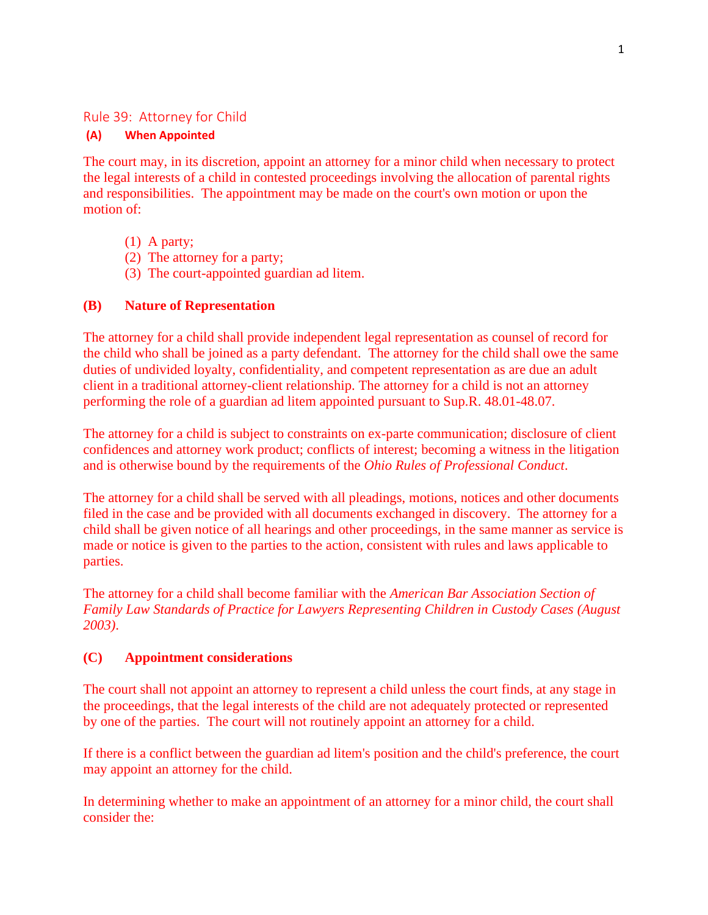## Rule 39: Attorney for Child

## **(A) When Appointed**

The court may, in its discretion, appoint an attorney for a minor child when necessary to protect the legal interests of a child in contested proceedings involving the allocation of parental rights and responsibilities. The appointment may be made on the court's own motion or upon the motion of:

- (1) A party;
- (2) The attorney for a party;
- (3) The court-appointed guardian ad litem.

# **(B) Nature of Representation**

The attorney for a child shall provide independent legal representation as counsel of record for the child who shall be joined as a party defendant. The attorney for the child shall owe the same duties of undivided loyalty, confidentiality, and competent representation as are due an adult client in a traditional attorney-client relationship. The attorney for a child is not an attorney performing the role of a guardian ad litem appointed pursuant to Sup.R. 48.01-48.07.

The attorney for a child is subject to constraints on ex-parte communication; disclosure of client confidences and attorney work product; conflicts of interest; becoming a witness in the litigation and is otherwise bound by the requirements of the *Ohio Rules of Professional Conduct*.

The attorney for a child shall be served with all pleadings, motions, notices and other documents filed in the case and be provided with all documents exchanged in discovery. The attorney for a child shall be given notice of all hearings and other proceedings, in the same manner as service is made or notice is given to the parties to the action, consistent with rules and laws applicable to parties.

The attorney for a child shall become familiar with the *American Bar Association Section of Family Law Standards of Practice for Lawyers Representing Children in Custody Cases (August 2003)*.

# **(C) Appointment considerations**

The court shall not appoint an attorney to represent a child unless the court finds, at any stage in the proceedings, that the legal interests of the child are not adequately protected or represented by one of the parties. The court will not routinely appoint an attorney for a child.

If there is a conflict between the guardian ad litem's position and the child's preference, the court may appoint an attorney for the child.

In determining whether to make an appointment of an attorney for a minor child, the court shall consider the: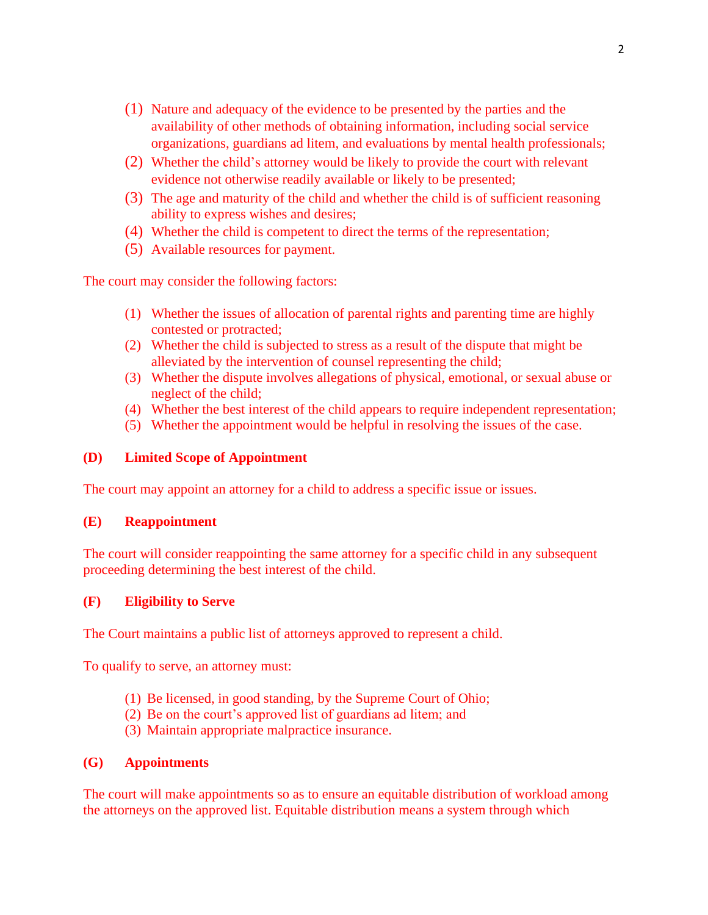- (1) Nature and adequacy of the evidence to be presented by the parties and the availability of other methods of obtaining information, including social service organizations, guardians ad litem, and evaluations by mental health professionals;
- (2) Whether the child's attorney would be likely to provide the court with relevant evidence not otherwise readily available or likely to be presented;
- (3) The age and maturity of the child and whether the child is of sufficient reasoning ability to express wishes and desires;
- (4) Whether the child is competent to direct the terms of the representation;
- (5) Available resources for payment.

The court may consider the following factors:

- (1) Whether the issues of allocation of parental rights and parenting time are highly contested or protracted;
- (2) Whether the child is subjected to stress as a result of the dispute that might be alleviated by the intervention of counsel representing the child;
- (3) Whether the dispute involves allegations of physical, emotional, or sexual abuse or neglect of the child;
- (4) Whether the best interest of the child appears to require independent representation;
- (5) Whether the appointment would be helpful in resolving the issues of the case.

## **(D) Limited Scope of Appointment**

The court may appoint an attorney for a child to address a specific issue or issues.

## **(E) Reappointment**

The court will consider reappointing the same attorney for a specific child in any subsequent proceeding determining the best interest of the child.

## **(F) Eligibility to Serve**

The Court maintains a public list of attorneys approved to represent a child.

To qualify to serve, an attorney must:

- (1) Be licensed, in good standing, by the Supreme Court of Ohio;
- (2) Be on the court's approved list of guardians ad litem; and
- (3) Maintain appropriate malpractice insurance.

## **(G) Appointments**

The court will make appointments so as to ensure an equitable distribution of workload among the attorneys on the approved list. Equitable distribution means a system through which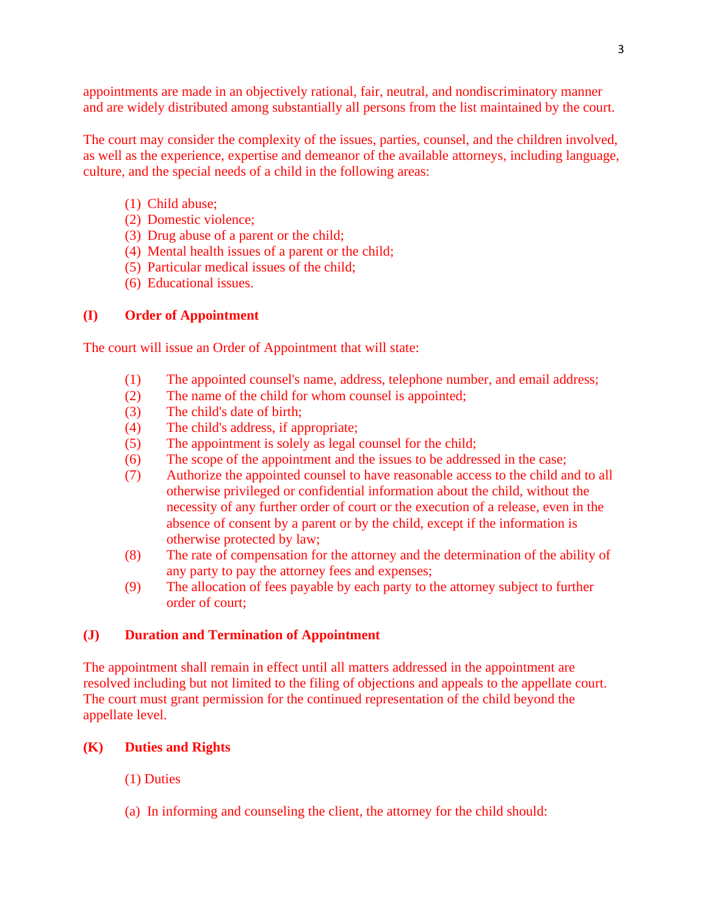appointments are made in an objectively rational, fair, neutral, and nondiscriminatory manner and are widely distributed among substantially all persons from the list maintained by the court.

The court may consider the complexity of the issues, parties, counsel, and the children involved, as well as the experience, expertise and demeanor of the available attorneys, including language, culture, and the special needs of a child in the following areas:

- (1) Child abuse;
- (2) Domestic violence;
- (3) Drug abuse of a parent or the child;
- (4) Mental health issues of a parent or the child;
- (5) Particular medical issues of the child;
- (6) Educational issues.

# **(I) Order of Appointment**

The court will issue an Order of Appointment that will state:

- (1) The appointed counsel's name, address, telephone number, and email address;
- (2) The name of the child for whom counsel is appointed;
- (3) The child's date of birth;
- (4) The child's address, if appropriate;
- (5) The appointment is solely as legal counsel for the child;
- (6) The scope of the appointment and the issues to be addressed in the case;
- (7) Authorize the appointed counsel to have reasonable access to the child and to all otherwise privileged or confidential information about the child, without the necessity of any further order of court or the execution of a release, even in the absence of consent by a parent or by the child, except if the information is otherwise protected by law;
- (8) The rate of compensation for the attorney and the determination of the ability of any party to pay the attorney fees and expenses;
- (9) The allocation of fees payable by each party to the attorney subject to further order of court;

# **(J) Duration and Termination of Appointment**

The appointment shall remain in effect until all matters addressed in the appointment are resolved including but not limited to the filing of objections and appeals to the appellate court. The court must grant permission for the continued representation of the child beyond the appellate level.

# **(K) Duties and Rights**

- (1) Duties
- (a) In informing and counseling the client, the attorney for the child should: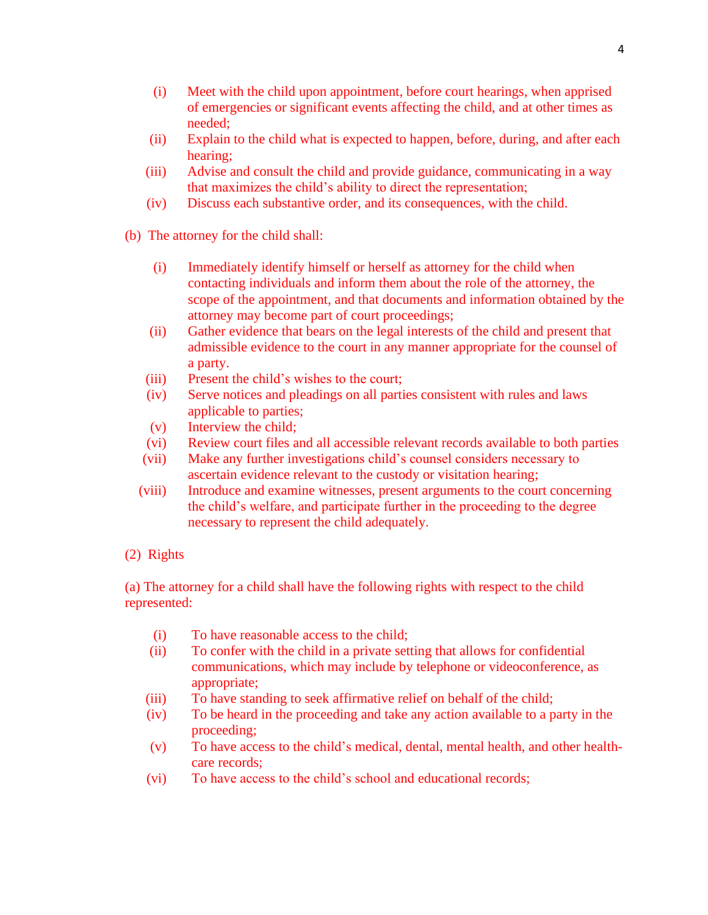- (i) Meet with the child upon appointment, before court hearings, when apprised of emergencies or significant events affecting the child, and at other times as needed;
- (ii) Explain to the child what is expected to happen, before, during, and after each hearing;
- (iii) Advise and consult the child and provide guidance, communicating in a way that maximizes the child's ability to direct the representation;
- (iv) Discuss each substantive order, and its consequences, with the child.
- (b) The attorney for the child shall:
	- (i) Immediately identify himself or herself as attorney for the child when contacting individuals and inform them about the role of the attorney, the scope of the appointment, and that documents and information obtained by the attorney may become part of court proceedings;
	- (ii) Gather evidence that bears on the legal interests of the child and present that admissible evidence to the court in any manner appropriate for the counsel of a party.
	- (iii) Present the child's wishes to the court;
	- (iv) Serve notices and pleadings on all parties consistent with rules and laws applicable to parties;
	- (v) Interview the child;
	- (vi) Review court files and all accessible relevant records available to both parties
	- (vii) Make any further investigations child's counsel considers necessary to ascertain evidence relevant to the custody or visitation hearing;
	- (viii) Introduce and examine witnesses, present arguments to the court concerning the child's welfare, and participate further in the proceeding to the degree necessary to represent the child adequately.
- (2) Rights

(a) The attorney for a child shall have the following rights with respect to the child represented:

- (i) To have reasonable access to the child;
- (ii) To confer with the child in a private setting that allows for confidential communications, which may include by telephone or videoconference, as appropriate;
- (iii) To have standing to seek affirmative relief on behalf of the child;
- (iv) To be heard in the proceeding and take any action available to a party in the proceeding;
- (v) To have access to the child's medical, dental, mental health, and other healthcare records;
- (vi) To have access to the child's school and educational records;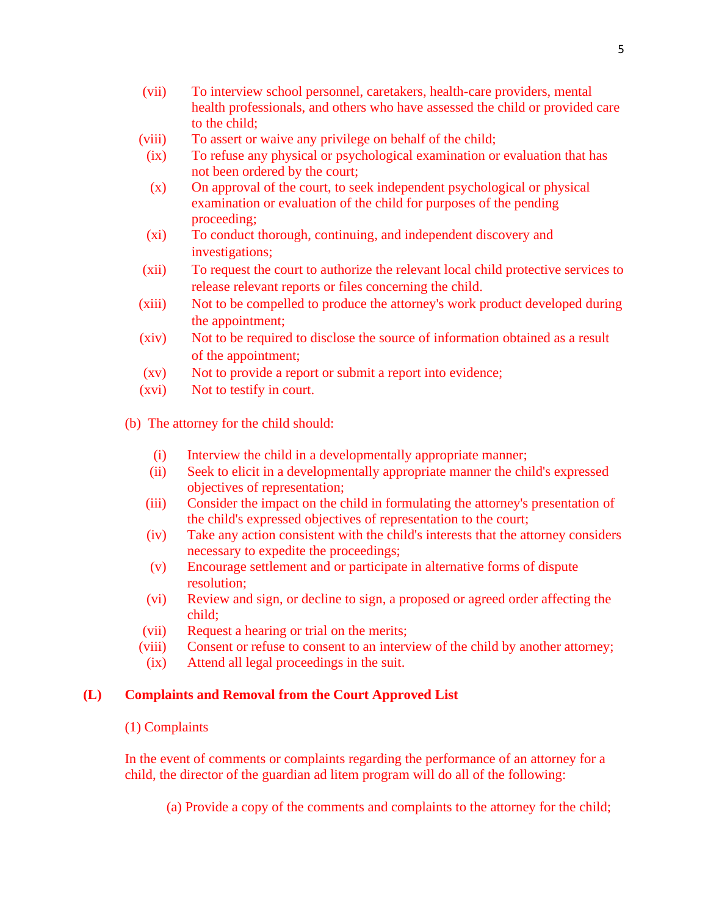- (vii) To interview school personnel, caretakers, health-care providers, mental health professionals, and others who have assessed the child or provided care to the child;
- (viii) To assert or waive any privilege on behalf of the child;
- (ix) To refuse any physical or psychological examination or evaluation that has not been ordered by the court;
- (x) On approval of the court, to seek independent psychological or physical examination or evaluation of the child for purposes of the pending proceeding;
- (xi) To conduct thorough, continuing, and independent discovery and investigations;
- (xii) To request the court to authorize the relevant local child protective services to release relevant reports or files concerning the child.
- (xiii) Not to be compelled to produce the attorney's work product developed during the appointment;
- (xiv) Not to be required to disclose the source of information obtained as a result of the appointment;
- (xv) Not to provide a report or submit a report into evidence;
- (xvi) Not to testify in court.

(b) The attorney for the child should:

- (i) Interview the child in a developmentally appropriate manner;
- (ii) Seek to elicit in a developmentally appropriate manner the child's expressed objectives of representation;
- (iii) Consider the impact on the child in formulating the attorney's presentation of the child's expressed objectives of representation to the court;
- (iv) Take any action consistent with the child's interests that the attorney considers necessary to expedite the proceedings;
- (v) Encourage settlement and or participate in alternative forms of dispute resolution;
- (vi) Review and sign, or decline to sign, a proposed or agreed order affecting the child;
- (vii) Request a hearing or trial on the merits;
- (viii) Consent or refuse to consent to an interview of the child by another attorney;
- (ix) Attend all legal proceedings in the suit.

### **(L) Complaints and Removal from the Court Approved List**

### (1) Complaints

In the event of comments or complaints regarding the performance of an attorney for a child, the director of the guardian ad litem program will do all of the following:

(a) Provide a copy of the comments and complaints to the attorney for the child;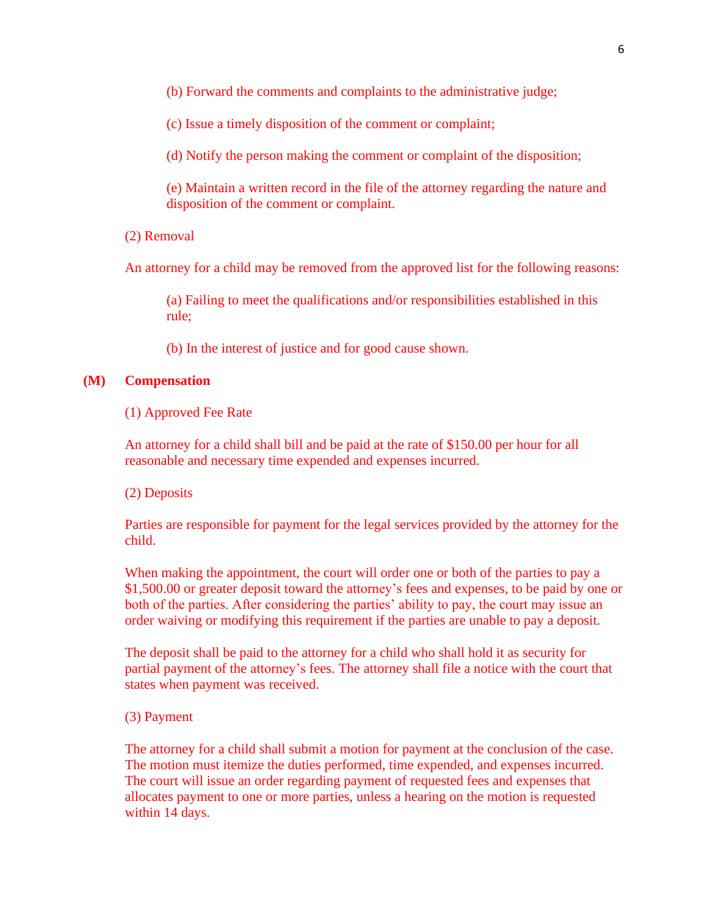(b) Forward the comments and complaints to the administrative judge;

(c) Issue a timely disposition of the comment or complaint;

(d) Notify the person making the comment or complaint of the disposition;

(e) Maintain a written record in the file of the attorney regarding the nature and disposition of the comment or complaint.

(2) Removal

An attorney for a child may be removed from the approved list for the following reasons:

(a) Failing to meet the qualifications and/or responsibilities established in this rule;

(b) In the interest of justice and for good cause shown.

### **(M) Compensation**

(1) Approved Fee Rate

An attorney for a child shall bill and be paid at the rate of \$150.00 per hour for all reasonable and necessary time expended and expenses incurred.

(2) Deposits

Parties are responsible for payment for the legal services provided by the attorney for the child.

When making the appointment, the court will order one or both of the parties to pay a \$1,500.00 or greater deposit toward the attorney's fees and expenses, to be paid by one or both of the parties. After considering the parties' ability to pay, the court may issue an order waiving or modifying this requirement if the parties are unable to pay a deposit.

The deposit shall be paid to the attorney for a child who shall hold it as security for partial payment of the attorney's fees. The attorney shall file a notice with the court that states when payment was received.

### (3) Payment

The attorney for a child shall submit a motion for payment at the conclusion of the case. The motion must itemize the duties performed, time expended, and expenses incurred. The court will issue an order regarding payment of requested fees and expenses that allocates payment to one or more parties, unless a hearing on the motion is requested within 14 days.